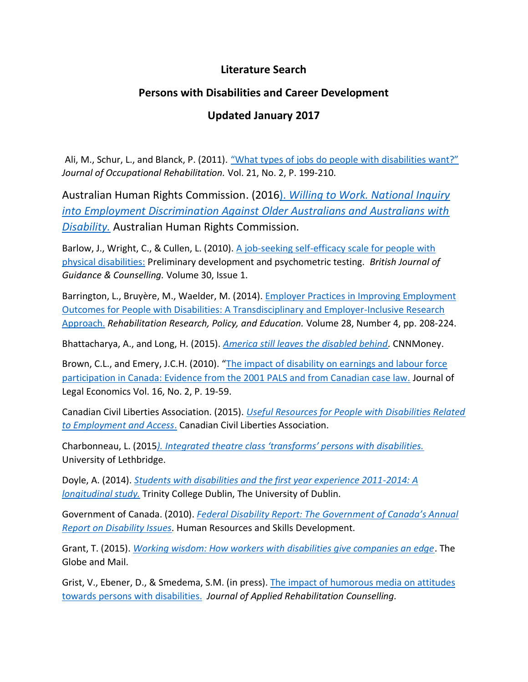## **Literature Search**

## **Persons with Disabilities and Career Development**

## **Updated January 2017**

Ali, M., Schur, L., and Blanck, P. (2011). ["What types of jobs do people with disabilities want?"](https://www.ncbi.nlm.nih.gov/pubmed/20924777) *Journal of Occupational Rehabilitation.* Vol. 21, No. 2, P. 199-210.

Australian Human Rights Commission. (2016). *[Willing to Work. National Inquiry](https://www.humanrights.gov.au/our-work/disability-rights/publications/willing-work-national-inquiry-employment-discrimination)  [into Employment Discrimination Against Older Australians and Australians with](https://www.humanrights.gov.au/our-work/disability-rights/publications/willing-work-national-inquiry-employment-discrimination)  [Disability.](https://www.humanrights.gov.au/our-work/disability-rights/publications/willing-work-national-inquiry-employment-discrimination)* Australian Human Rights Commission.

Barlow, J., Wright, C., & Cullen, L. (2010). [A job-seeking self-efficacy scale for people with](http://www.tandfonline.com/doi/abs/10.1080/030698880220106500)  [physical disabilities:](http://www.tandfonline.com/doi/abs/10.1080/030698880220106500) Preliminary development and psychometric testing. *British Journal of Guidance & Counselling.* Volume 30, Issue 1.

Barrington, L., Bruyère, M., Waelder, M. (2014). [Employer Practices in Improving Employment](http://www.ingentaconnect.com/content/springer/rrpe/2014/00000028/00000004/art00002)  [Outcomes for People with Disabilities: A Transdisciplinary and Employer-Inclusive Research](http://www.ingentaconnect.com/content/springer/rrpe/2014/00000028/00000004/art00002)  [Approach.](http://www.ingentaconnect.com/content/springer/rrpe/2014/00000028/00000004/art00002) *Rehabilitation Research, Policy, and Education.* Volume 28, Number 4, pp. 208-224.

Bhattacharya, A., and Long, H. (2015). *[America still leaves the disabled behind.](http://money.cnn.com/2015/07/26/news/economy/americans-with-disabilities-act-problems-remain/)* CNNMoney.

Brown, C.L., and Emery, J.C.H. (2010). "The impact of disability on earnings and labour force [participation in Canada: Evidence from the 2001 PALS and from Canadian case law.](https://econ.ucalgary.ca/manageprofile/sites/econ.ucalgary.ca.manageprofile/files/unitis/publications/162-34145/PALSworkingpaper2008.pdf) Journal of Legal Economics Vol. 16, No. 2, P. 19-59.

Canadian Civil Liberties Association. (2015). *[Useful Resources for People with Disabilities Related](ttps://ccla.org/useful-resources-for-people-with-disabilities-related-to-employment-and-access/)  [to Employment and Access](ttps://ccla.org/useful-resources-for-people-with-disabilities-related-to-employment-and-access/)*. Canadian Civil Liberties Association.

Charbonneau, L. (2015*[\). Integrated theatre class 'transforms' persons with disabilities.](http://www.universityaffairs.ca/news/news-article/integrated-theatre-class-transforms-persons-disabilities/)* University of Lethbridge.

Doyle, A. (2014). *[Students with disabilities and the first year experience 2011-2014: A](https://www.tcd.ie/disability/assets/pdf/DS_DARE%20students%20and%20the%20FYE%202011-2013%20final.pdf)  [longitudinal study.](https://www.tcd.ie/disability/assets/pdf/DS_DARE%20students%20and%20the%20FYE%202011-2013%20final.pdf)* Trinity College Dublin, The University of Dublin.

Government of Canada. (2010). *[Federal Disability Report: The Government of Canada's Annual](https://www.canada.ca/en/employment-social-development/programs/disability/arc/federal-report2010.html)  [Report on Disability Issues.](https://www.canada.ca/en/employment-social-development/programs/disability/arc/federal-report2010.html)* Human Resources and Skills Development.

Grant, T. (2015). *[Working wisdom: How workers with disabilities give companies an edge](http://www.theglobeandmail.com/report-on-business/working-wisdom-how-workers-with-disabilities-give-companies-an-edge/article23236023/)*. The Globe and Mail.

Grist, V., Ebener, D., & Smedema, S.M. (in press). [The impact of humorous media on attitudes](https://www.researchgate.net/publication/221742536_The_impact_of_humorous_media_on_attitudes_toward_persons_with_disabilities)  [towards persons with](https://www.researchgate.net/publication/221742536_The_impact_of_humorous_media_on_attitudes_toward_persons_with_disabilities) disabilities. *Journal of Applied Rehabilitation Counselling.*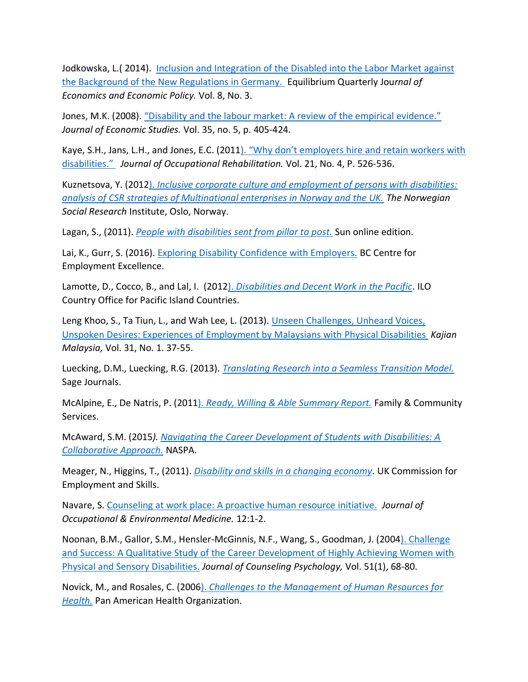Jodkowska, L. (2014). Inclusion and Integration of the Disabled into the Labor Market against [the Background of the New Regulations in Germany.](http://apcz.pl/czasopisma/index.php/EQUIL/article/view/EQUIL.2013.021) Equilibrium Quarterly Jou*rnal of Economics and Economic Policy.* Vol. 8, No. 3.

Jones, M.K. (2008). "Disability and the labour market: A review of the empirical evidence." *Journal of Economic Studies.* Vol. 35, no. 5, p. 405-424.

Kaye, S.H., Jans, L.H., and Jones, E.C. (2011[\). "Why don't employers hire and retain workers with](https://www.ncbi.nlm.nih.gov/pubmed/21400039)  [disabilities."](https://www.ncbi.nlm.nih.gov/pubmed/21400039) *Journal of Occupational Rehabilitation.* Vol. 21, No. 4, P. 526-536.

Kuznetsova, Y. (2012). *[Inclusive corporate culture and employment of persons with disabilities:](http://www.ufhrd.co.uk/wordpress/wp-content/uploads/2012/11/UFHRD2012Diversity3.pdf)  [analysis of CSR strategies of Multinational enterprises in Norway and the UK.](http://www.ufhrd.co.uk/wordpress/wp-content/uploads/2012/11/UFHRD2012Diversity3.pdf) The Norwegian Social Research* Institute, Oslo, Norway.

Lagan, S., (2011). *[People with disabilities sent from pillar to post.](http://bermudasun.bm/Content/NEWS/News/Article/People-with-disabilities-sent-from-pillar-to-post-/24/270/52482)* Sun online edition.

Lai, K., Gurr, S. (2016). [Exploring Disability Confidence with Employers.](http://www.cfeebc.org/exploring-disability-confidence-with-employers/) BC Centre for Employment Excellence.

Lamotte, D., Cocco, B., and Lal, I. (2012). *[Disabilities and Decent Work in the Pacific](http://www.ilo.org/suva/publications/WCMS_191671/lang--en/index.htm)*. ILO Country Office for Pacific Island Countries.

Leng Khoo, S., Ta Tiun, L., and Wah Lee, L. (2013). [Unseen Challenges, Unheard Voices,](https://www.researchgate.net/publication/292092638_Unseen_challenges_unheard_voices_unspoken_desires_Experiences_of_employment_by_Malaysians_with_physical_disabilities)  [Unspoken Desires: Experiences of Employment by Malaysians with](https://www.researchgate.net/publication/292092638_Unseen_challenges_unheard_voices_unspoken_desires_Experiences_of_employment_by_Malaysians_with_physical_disabilities) Physical Disabilities *Kajian Malaysia,* Vol. 31, No. 1. 37-55.

Luecking, D.M., Luecking, R.G. (2013). *[Translating Research into a Seamless Transition Model.](http://maint.journals.sagepub.com/)* Sage Journals.

McAlpine, E., De Natris, P. (2011). *[Ready, Willing & Able Summary Report.](https://www.adhc.nsw.gov.au/__data/assets/file/0018/251541/Ready_Willing_and_Able_Summary_Report_2010-11.pdf)* Family & Community Services.

McAward, S.M. (2015*). [Navigating the Career Development of Students with Disabilities: A](https://www.naspa.org/constituent-groups/posts/navigating-the-career-development-of-students-with-disabilities-a)  [Collaborative Approach.](https://www.naspa.org/constituent-groups/posts/navigating-the-career-development-of-students-with-disabilities-a)* NASPA.

Meager, N., Higgins, T., (2011). *[Disability and skills in a changing economy.](http://www.oph.fi/download/140962_equality-disability.pdf)* UK Commission for Employment and Skills.

Navare, S. Counseling at [work place: A proactive human resource initiative.](https://www.ncbi.nlm.nih.gov/pmc/articles/PMC2796765/) *Journal of Occupational & Environmental Medicine.* 12:1-2.

Noonan, B.M., Gallor, S.M., Hensler-McGinnis, N.F., Wang, S., Goodman, J. (200[4\). Challenge](http://psycnet.apa.org/psycinfo/2003-11100-007)  [and Success: A Qualitative Study of the Career Development of Highly Achieving Women with](http://psycnet.apa.org/psycinfo/2003-11100-007)  [Physical and Sensory Disabilities.](http://psycnet.apa.org/psycinfo/2003-11100-007) *Journal of Counseling Psychology,* Vol. 51(1), 68-80.

Novick, M., and Rosales, C. (2006). *[Challenges to the Management of Human Resources for](http://www.paho.org/hq/index.php?option=com_docman&task=doc_view&gid=17914&Itemid=270)  [Health.](http://www.paho.org/hq/index.php?option=com_docman&task=doc_view&gid=17914&Itemid=270)* Pan American Health Organization.